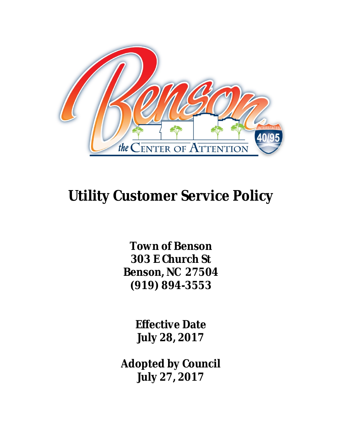

# **Utility Customer Service Policy**

**Town of Benson 303 E Church St Benson, NC 27504 (919) 894-3553**

> **Effective Date July 28, 2017**

**Adopted by Council July 27, 2017**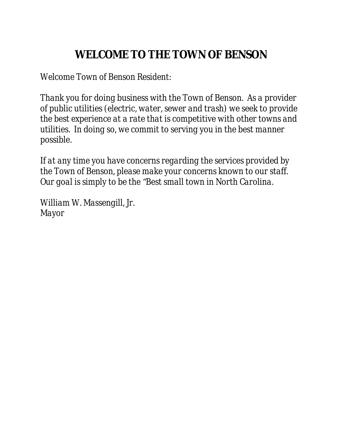## **WELCOME TO THE TOWN OF BENSON**

*Welcome Town of Benson Resident:*

*Thank you for doing business with the Town of Benson. As a provider of public utilities (electric, water, sewer and trash) we seek to provide the best experience at a rate that is competitive with other towns and utilities. In doing so, we commit to serving you in the best manner possible.*

*If at any time you have concerns regarding the services provided by the Town of Benson, please make your concerns known to our staff. Our goal is simply to be the "Best small town in North Carolina.*

*William W. Massengill, Jr. Mayor*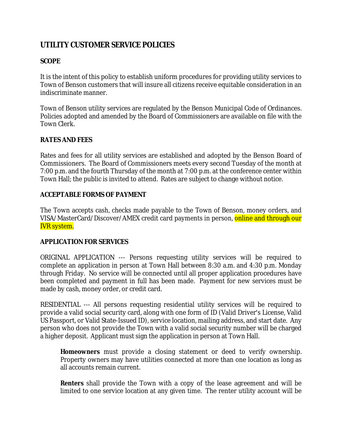## *UTILITY CUSTOMER SERVICE POLICIES*

## **SCOPE**

It is the intent of this policy to establish uniform procedures for providing utility services to Town of Benson customers that will insure all citizens receive equitable consideration in an indiscriminate manner.

Town of Benson utility services are regulated by the Benson Municipal Code of Ordinances. Policies adopted and amended by the Board of Commissioners are available on file with the Town Clerk.

## **RATES AND FEES**

Rates and fees for all utility services are established and adopted by the Benson Board of Commissioners. The Board of Commissioners meets every second Tuesday of the month at 7:00 p.m. and the fourth Thursday of the month at 7:00 p.m. at the conference center within Town Hall; the public is invited to attend. Rates are subject to change without notice.

#### **ACCEPTABLE FORMS OF PAYMENT**

The Town accepts cash, checks made payable to the Town of Benson, money orders, and VISA/MasterCard/Discover/AMEX credit card payments in person, online and through our IVR system.

#### **APPLICATION FOR SERVICES**

ORIGINAL APPLICATION --- Persons requesting utility services will be required to complete an application in person at Town Hall between 8:30 a.m. and 4:30 p.m. Monday through Friday. No service will be connected until all proper application procedures have been completed and payment in full has been made. Payment for new services must be made by cash, money order, or credit card.

RESIDENTIAL --- All persons requesting residential utility services will be required to provide a valid social security card, along with one form of ID (Valid Driver's License, Valid US Passport, or Valid State-Issued ID), service location, mailing address, and start date. Any person who does not provide the Town with a valid social security number will be charged a higher deposit. Applicant must sign the application in person at Town Hall.

*Homeowners* must provide a closing statement or deed to verify ownership. Property owners may have utilities connected at more than one location as long as all accounts remain current.

*Renters* shall provide the Town with a copy of the lease agreement and will be limited to one service location at any given time. The renter utility account will be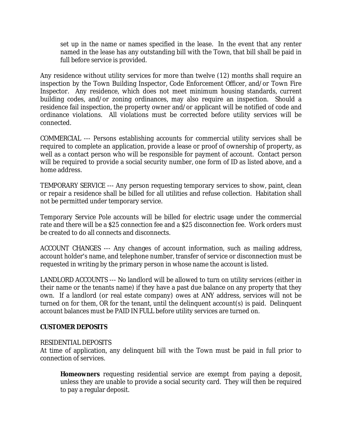set up in the name or names specified in the lease. In the event that any renter named in the lease has any outstanding bill with the Town, that bill shall be paid in full before service is provided.

Any residence without utility services for more than twelve (12) months shall require an inspection by the Town Building Inspector, Code Enforcement Officer, and/or Town Fire Inspector. Any residence, which does not meet minimum housing standards, current building codes, and/or zoning ordinances, may also require an inspection. Should a residence fail inspection, the property owner and/or applicant will be notified of code and ordinance violations. All violations must be corrected before utility services will be connected.

COMMERCIAL --- Persons establishing accounts for commercial utility services shall be required to complete an application, provide a lease or proof of ownership of property, as well as a contact person who will be responsible for payment of account. Contact person will be required to provide a social security number, one form of ID as listed above, and a home address.

TEMPORARY SERVICE --- Any person requesting temporary services to show, paint, clean or repair a residence shall be billed for all utilities and refuse collection. Habitation shall not be permitted under temporary service.

Temporary Service Pole accounts will be billed for electric usage under the commercial rate and there will be a \$25 connection fee and a \$25 disconnection fee. Work orders must be created to do all connects and disconnects.

ACCOUNT CHANGES --- Any changes of account information, such as mailing address, account holder's name, and telephone number, transfer of service or disconnection must be requested in writing by the primary person in whose name the account is listed.

LANDLORD ACCOUNTS --- No landlord will be allowed to turn on utility services (either in their name or the tenants name) if they have a past due balance on any property that they own. If a landlord (or real estate company) owes at ANY address, services will not be turned on for them, OR for the tenant, until the delinquent account(s) is paid. Delinquent account balances must be PAID IN FULL before utility services are turned on.

#### **CUSTOMER DEPOSITS**

#### RESIDENTIAL DEPOSITS

At time of application, any delinquent bill with the Town must be paid in full prior to connection of services.

*Homeowners* requesting residential service are exempt from paying a deposit, unless they are unable to provide a social security card. They will then be required to pay a regular deposit.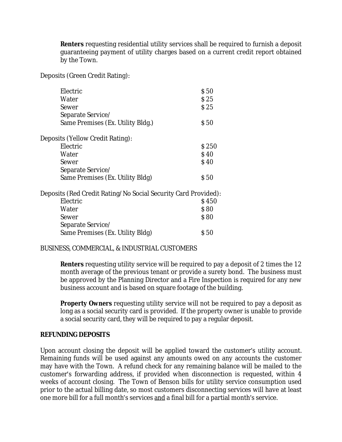**Renters** requesting residential utility services shall be required to furnish a deposit guaranteeing payment of utility charges based on a current credit report obtained by the Town.

Deposits (Green Credit Rating):

| Electric                                                       | \$50        |
|----------------------------------------------------------------|-------------|
| Water                                                          | \$25        |
| Sewer                                                          | \$25        |
| Separate Service/                                              |             |
| Same Premises (Ex. Utility Bldg.)                              | S 50        |
| Deposits (Yellow Credit Rating):                               |             |
| Electric                                                       | \$250       |
| Water                                                          | \$40        |
| Sewer                                                          | <b>\$40</b> |
| Separate Service/                                              |             |
| Same Premises (Ex. Utility Bldg)                               | S 50        |
| Deposits (Red Credit Rating/No Social Security Card Provided): |             |
| Electric                                                       | \$450       |
| Water                                                          | \$80        |
| Sewer                                                          | \$80        |
| Separate Service/                                              |             |
| Same Premises (Ex. Utility Bldg)                               | \$ 50       |

#### BUSINESS, COMMERCIAL, & INDUSTRIAL CUSTOMERS

*Renters* requesting utility service will be required to pay a deposit of 2 times the 12 month average of the previous tenant or provide a surety bond. The business must be approved by the Planning Director and a Fire Inspection is required for any new business account and is based on square footage of the building.

**Property Owners** requesting utility service will not be required to pay a deposit as long as a social security card is provided. If the property owner is unable to provide a social security card, they will be required to pay a regular deposit.

#### **REFUNDING DEPOSITS**

Upon account closing the deposit will be applied toward the customer's utility account. Remaining funds will be used against any amounts owed on any accounts the customer may have with the Town. A refund check for any remaining balance will be mailed to the customer's forwarding address, if provided when disconnection is requested, within 4 weeks of account closing. The Town of Benson bills for utility service consumption used prior to the actual billing date, so most customers disconnecting services will have at least one more bill for a full month's services and a final bill for a partial month's service.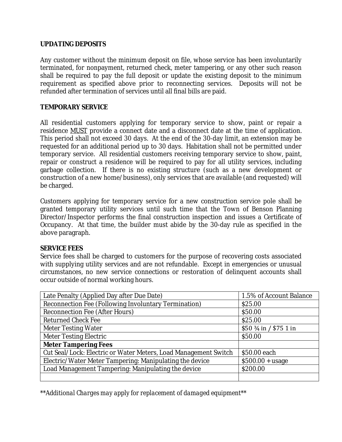#### **UPDATING DEPOSITS**

Any customer without the minimum deposit on file, whose service has been involuntarily terminated, for nonpayment, returned check, meter tampering, or any other such reason shall be required to pay the full deposit or update the existing deposit to the minimum requirement as specified above prior to reconnecting services. Deposits will not be refunded after termination of services until all final bills are paid.

#### **TEMPORARY SERVICE**

All residential customers applying for temporary service to show, paint or repair a residence MUST provide a connect date and a disconnect date at the time of application. This period shall not exceed 30 days. At the end of the 30-day limit, an extension may be requested for an additional period up to 30 days. Habitation shall not be permitted under temporary service. All residential customers receiving temporary service to show, paint, repair or construct a residence will be required to pay for all utility services, including garbage collection. If there is no existing structure (such as a new development or construction of a new home/business), only services that are available (and requested) will be charged.

Customers applying for temporary service for a new construction service pole shall be granted temporary utility services until such time that the Town of Benson Planning Director/Inspector performs the final construction inspection and issues a Certificate of Occupancy. At that time, the builder must abide by the 30-day rule as specified in the above paragraph.

#### **SERVICE FEES**

Service fees shall be charged to customers for the purpose of recovering costs associated with supplying utility services and are not refundable. Except in emergencies or unusual circumstances, no new service connections or restoration of delinquent accounts shall occur outside of normal working hours.

| Late Penalty (Applied Day after Due Date)                       | 1.5% of Account Balance         |
|-----------------------------------------------------------------|---------------------------------|
| Reconnection Fee (Following Involuntary Termination)            | \$25.00                         |
| <b>Reconnection Fee (After Hours)</b>                           | \$50.00                         |
| <b>Returned Check Fee</b>                                       | \$25.00                         |
| <b>Meter Testing Water</b>                                      | $$50\frac{3}{4}$ in / \$75 1 in |
| <b>Meter Testing Electric</b>                                   | \$50.00                         |
| <b>Meter Tampering Fees</b>                                     |                                 |
| Cut Seal/Lock: Electric or Water Meters, Load Management Switch | \$50.00 each                    |
| Electric/Water Meter Tampering: Manipulating the device         | $$500.00 + usage$               |
| Load Management Tampering: Manipulating the device              | \$200.00                        |
|                                                                 |                                 |

*\*\*Additional Charges may apply for replacement of damaged equipment\*\**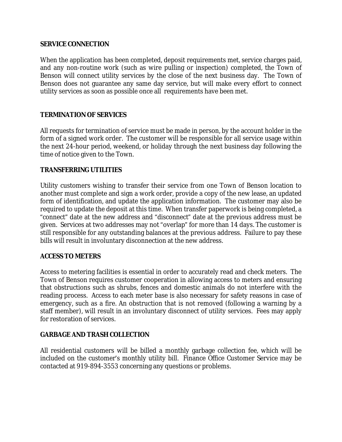#### **SERVICE CONNECTION**

When the application has been completed, deposit requirements met, service charges paid, and any non-routine work (such as wire pulling or inspection) completed, the Town of Benson will connect utility services by the close of the next business day. The Town of Benson does not guarantee any same day service, but will make every effort to connect utility services as soon as possible once all requirements have been met.

#### **TERMINATION OF SERVICES**

All requests for termination of service must be made in person, by the account holder in the form of a signed work order. The customer will be responsible for all service usage within the next 24-hour period, weekend, or holiday through the next business day following the time of notice given to the Town.

#### **TRANSFERRING UTILITIES**

Utility customers wishing to transfer their service from one Town of Benson location to another must complete and sign a work order, provide a copy of the new lease, an updated form of identification, and update the application information. The customer may also be required to update the deposit at this time. When transfer paperwork is being completed, a "connect" date at the new address and "disconnect" date at the previous address must be given. Services at two addresses may not "overlap" for more than 14 days. The customer is still responsible for any outstanding balances at the previous address. Failure to pay these bills will result in involuntary disconnection at the new address.

#### **ACCESS TO METERS**

Access to metering facilities is essential in order to accurately read and check meters. The Town of Benson requires customer cooperation in allowing access to meters and ensuring that obstructions such as shrubs, fences and domestic animals do not interfere with the reading process. Access to each meter base is also necessary for safety reasons in case of emergency, such as a fire. An obstruction that is not removed (following a warning by a staff member), will result in an involuntary disconnect of utility services. Fees may apply for restoration of services.

#### **GARBAGE AND TRASH COLLECTION**

All residential customers will be billed a monthly garbage collection fee, which will be included on the customer's monthly utility bill. Finance Office Customer Service may be contacted at 919-894-3553 concerning any questions or problems.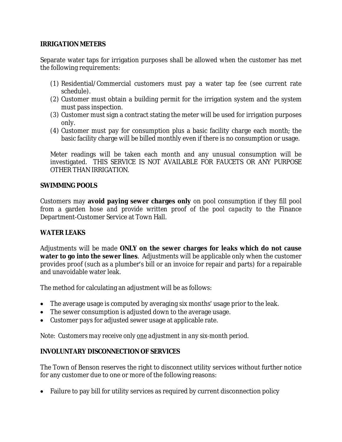#### **IRRIGATION METERS**

Separate water taps for irrigation purposes shall be allowed when the customer has met the following requirements:

- (1) Residential/Commercial customers must pay a water tap fee (see current rate schedule).
- (2) Customer must obtain a building permit for the irrigation system and the system must pass inspection.
- (3) Customer must sign a contract stating the meter will be used for irrigation purposes only.
- (4) Customer must pay for consumption plus a basic facility charge each month; the basic facility charge will be billed monthly even if there is no consumption or usage.

Meter readings will be taken each month and any unusual consumption will be investigated. THIS SERVICE IS NOT AVAILABLE FOR FAUCETS OR ANY PURPOSE OTHER THAN IRRIGATION.

#### **SWIMMING POOLS**

Customers may **avoid paying sewer charges only** on pool consumption if they fill pool from a garden hose *and provide written proof of the pool capacity* to the Finance Department-Customer Service at Town Hall.

#### **WATER LEAKS**

Adjustments will be made **ONLY on the sewer charges for leaks which do not cause water to go into the sewer lines**. Adjustments will be applicable only when the customer provides proof (such as a plumber's bill or an invoice for repair and parts) for a repairable and unavoidable water leak.

The method for calculating an adjustment will be as follows:

- The average usage is computed by averaging six months' usage prior to the leak.
- The sewer consumption is adjusted down to the average usage.
- Customer pays for adjusted sewer usage at applicable rate.

*Note: Customers may receive only one adjustment in any six-month period.*

#### **INVOLUNTARY DISCONNECTION OF SERVICES**

The Town of Benson reserves the right to disconnect utility services without further notice for any customer due to one or more of the following reasons:

• Failure to pay bill for utility services as required by current disconnection policy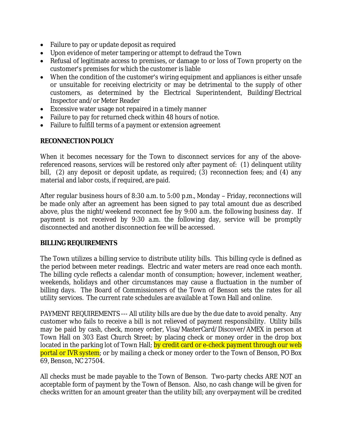- Failure to pay or update deposit as required
- Upon evidence of meter tampering or attempt to defraud the Town
- Refusal of legitimate access to premises, or damage to or loss of Town property on the customer's premises for which the customer is liable
- When the condition of the customer's wiring equipment and appliances is either unsafe or unsuitable for receiving electricity or may be detrimental to the supply of other customers, as determined by the Electrical Superintendent, Building/Electrical Inspector and/or Meter Reader
- Excessive water usage not repaired in a timely manner
- Failure to pay for returned check within 48 hours of notice.
- Failure to fulfill terms of a payment or extension agreement

#### **RECONNECTION POLICY**

When it becomes necessary for the Town to disconnect services for any of the abovereferenced reasons, services will be restored only after payment of: (1) delinquent utility bill, (2) any deposit or deposit update, as required; (3) reconnection fees; and (4) any material and labor costs, if required, are paid.

After regular business hours of 8:30 a.m. to 5:00 p.m., Monday – Friday, reconnections will be made only after an agreement has been signed to pay total amount due as described above, plus the night/weekend reconnect fee by 9:00 a.m. the following business day. If payment is not received by 9:30 a.m. the following day, service will be promptly disconnected and another disconnection fee will be accessed.

#### **BILLING REQUIREMENTS**

The Town utilizes a billing service to distribute utility bills. This billing cycle is defined as the period between meter readings. Electric and water meters are read once each month. The billing cycle reflects a calendar month of consumption; however, inclement weather, weekends, holidays and other circumstances may cause a fluctuation in the number of billing days. The Board of Commissioners of the Town of Benson sets the rates for all utility services. The current rate schedules are available at Town Hall and online.

PAYMENT REQUIREMENTS --- All utility bills are due by the due date to avoid penalty. Any customer who fails to receive a bill is not relieved of payment responsibility. Utility bills may be paid by cash, check, money order, Visa/MasterCard/Discover/AMEX in person at Town Hall on 303 East Church Street; by placing check or money order in the drop box located in the parking lot of Town Hall; by credit card or e-check payment through our web portal or IVR system; or by mailing a check or money order to the Town of Benson, PO Box 69, Benson, NC 27504.

All checks must be made payable to the Town of Benson. Two-party checks ARE NOT an acceptable form of payment by the Town of Benson. Also, no cash change will be given for checks written for an amount greater than the utility bill; any overpayment will be credited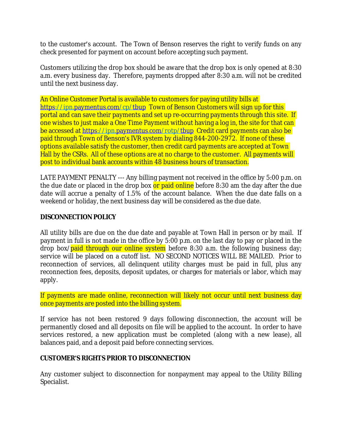to the customer's account. The Town of Benson reserves the right to verify funds on any check presented for payment on account before accepting such payment.

Customers utilizing the drop box should be aware that the drop box is only opened at 8:30 a.m. every business day. Therefore, payments dropped after 8:30 a.m. will not be credited until the next business day.

An Online Customer Portal is available to customers for paying utility bills at <https://ipn.paymentus.com/cp/tbup> Town of Benson Customers will sign up for this portal and can save their payments and set up re-occurring payments through this site. If one wishes to just make a One Time Payment without having a log in, the site for that can be accessed at<https://ipn.paymentus.com/rotp/tbup> Credit card payments can also be paid through Town of Benson's IVR system by dialing 844-200-2972. If none of these options available satisfy the customer, then credit card payments are accepted at Town Hall by the CSRs. All of these options are at no charge to the customer. All payments will post to individual bank accounts within 48 business hours of transaction.

LATE PAYMENT PENALTY --- Any billing payment not received in the office by 5:00 p.m. on the due date or placed in the drop box or paid online before 8:30 am the day after the due date will accrue a penalty of 1.5% of the account balance. When the due date falls on a weekend or holiday, the next business day will be considered as the due date.

#### **DISCONNECTION POLICY**

All utility bills are due on the due date and payable at Town Hall in person or by mail. If payment in full is not made in the office by 5:00 p.m. on the last day to pay or placed in the drop box/paid through our online system before 8:30 a.m. the following business day; service will be placed on a cutoff list. NO SECOND NOTICES WILL BE MAILED. Prior to reconnection of services, all delinquent utility charges must be paid in full, plus any reconnection fees, deposits, deposit updates, or charges for materials or labor, which may apply.

If payments are made online, reconnection will likely not occur until next business day once payments are posted into the billing system.

If service has not been restored 9 days following disconnection, the account will be permanently closed and all deposits on file will be applied to the account. In order to have services restored, a new application must be completed (along with a new lease), all balances paid, and a deposit paid before connecting services.

#### **CUSTOMER'S RIGHTS PRIOR TO DISCONNECTION**

Any customer subject to disconnection for nonpayment may appeal to the Utility Billing Specialist.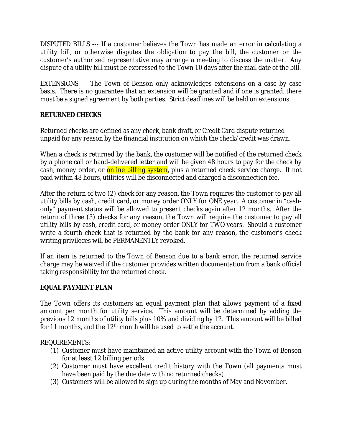DISPUTED BILLS --- If a customer believes the Town has made an error in calculating a utility bill, or otherwise disputes the obligation to pay the bill, the customer or the customer's authorized representative may arrange a meeting to discuss the matter. Any dispute of a utility bill must be expressed to the Town 10 days after the mail date of the bill.

EXTENSIONS --- The Town of Benson only acknowledges extensions on a case by case basis. There is no guarantee that an extension will be granted and if one is granted, there must be a signed agreement by both parties. Strict deadlines will be held on extensions.

#### **RETURNED CHECKS**

Returned checks are defined as any check, bank draft, or Credit Card dispute returned unpaid for any reason by the financial institution on which the check/credit was drawn.

When a check is returned by the bank, the customer will be notified of the returned check by a phone call or hand-delivered letter and will be given 48 hours to pay for the check by cash, money order, or **online billing system**, plus a returned check service charge. If not paid within 48 hours, utilities will be disconnected and charged a disconnection fee.

After the return of two (2) check for any reason, the Town requires the customer to pay all utility bills by cash, credit card, or money order ONLY for ONE year. A customer in "cashonly" payment status will be allowed to present checks again after 12 months. After the return of three (3) checks for any reason, the Town will require the customer to pay all utility bills by cash, credit card, or money order ONLY for TWO years. Should a customer write a fourth check that is returned by the bank for any reason, the customer's check writing privileges will be PERMANENTLY revoked.

If an item is returned to the Town of Benson due to a bank error, the returned service charge may be waived if the customer provides written documentation from a bank official taking responsibility for the returned check.

#### **EQUAL PAYMENT PLAN**

The Town offers its customers an equal payment plan that allows payment of a fixed amount per month for utility service. This amount will be determined by adding the previous 12 months of utility bills plus 10% and dividing by 12. This amount will be billed for 11 months, and the 12<sup>th</sup> month will be used to settle the account.

REQUIREMENTS:

- (1) Customer must have maintained an active utility account with the Town of Benson for at least 12 billing periods.
- (2) Customer must have excellent credit history with the Town (all payments must have been paid by the due date with no returned checks).
- (3) Customers will be allowed to sign up during the months of May and November.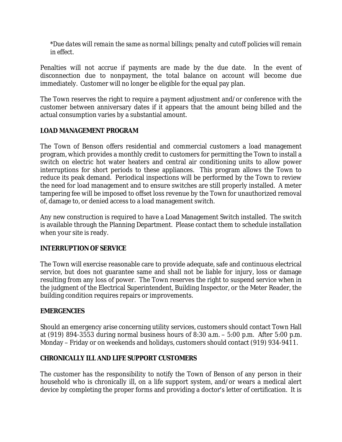*\*Due dates will remain the same as normal billings; penalty and cutoff policies will remain in effect.*

Penalties will not accrue if payments are made by the due date. In the event of disconnection due to nonpayment, the total balance on account will become due immediately. Customer will no longer be eligible for the equal pay plan.

The Town reserves the right to require a payment adjustment and/or conference with the customer between anniversary dates if it appears that the amount being billed and the actual consumption varies by a substantial amount.

#### **LOAD MANAGEMENT PROGRAM**

The Town of Benson offers residential and commercial customers a load management program, which provides a monthly credit to customers for permitting the Town to install a switch on electric hot water heaters and central air conditioning units to allow power interruptions for short periods to these appliances. This program allows the Town to reduce its peak demand. Periodical inspections will be performed by the Town to review the need for load management and to ensure switches are still properly installed. A meter tampering fee will be imposed to offset loss revenue by the Town for unauthorized removal of, damage to, or denied access to a load management switch.

Any new construction is required to have a Load Management Switch installed. The switch is available through the Planning Department. Please contact them to schedule installation when your site is ready.

#### **INTERRUPTION OF SERVICE**

The Town will exercise reasonable care to provide adequate, safe and continuous electrical service, but does not guarantee same and shall not be liable for injury, loss or damage resulting from any loss of power. The Town reserves the right to suspend service when in the judgment of the Electrical Superintendent, Building Inspector, or the Meter Reader, the building condition requires repairs or improvements.

#### **EMERGENCIES**

Should an emergency arise concerning utility services, customers should contact Town Hall at (919) 894-3553 during normal business hours of 8:30 a.m. – 5:00 p.m. After 5:00 p.m. Monday – Friday or on weekends and holidays, customers should contact (919) 934-9411.

#### **CHRONICALLY ILL AND LIFE SUPPORT CUSTOMERS**

The customer has the responsibility to notify the Town of Benson of any person in their household who is chronically ill, on a life support system, and/or wears a medical alert device by completing the proper forms and providing a doctor's letter of certification. It is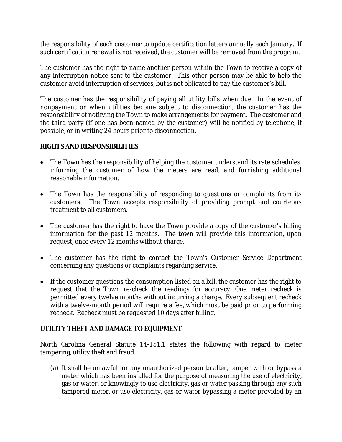the responsibility of each customer to update certification letters annually each January. If such certification renewal is not received, the customer will be removed from the program.

The customer has the right to name another person within the Town to receive a copy of any interruption notice sent to the customer. This other person may be able to help the customer avoid interruption of services, but is not obligated to pay the customer's bill.

The customer has the responsibility of paying all utility bills when due. In the event of nonpayment or when utilities become subject to disconnection, the customer has the responsibility of notifying the Town to make arrangements for payment. The customer and the third party (if one has been named by the customer) will be notified by telephone, if possible, or in writing 24 hours prior to disconnection.

#### **RIGHTS AND RESPONSIBILITIES**

- The Town has the responsibility of helping the customer understand its rate schedules, informing the customer of how the meters are read, and furnishing additional reasonable information.
- The Town has the responsibility of responding to questions or complaints from its customers. The Town accepts responsibility of providing prompt and courteous treatment to all customers.
- The customer has the right to have the Town provide a copy of the customer's billing information for the past 12 months. The town will provide this information, upon request, once every 12 months without charge.
- The customer has the right to contact the Town's Customer Service Department concerning any questions or complaints regarding service.
- If the customer questions the consumption listed on a bill, the customer has the right to request that the Town re-check the readings for accuracy. One meter recheck is permitted every twelve months without incurring a charge. Every subsequent recheck with a twelve-month period will require a fee, which must be paid prior to performing recheck. Recheck must be requested 10 days after billing.

#### **UTILITY THEFT AND DAMAGE TO EQUIPMENT**

North Carolina General Statute 14-151.1 states the following with regard to meter tampering, utility theft and fraud:

(a) It shall be unlawful for any unauthorized person to alter, tamper with or bypass a meter which has been installed for the purpose of measuring the use of electricity, gas or water, or knowingly to use electricity, gas or water passing through any such tampered meter, or use electricity, gas or water bypassing a meter provided by an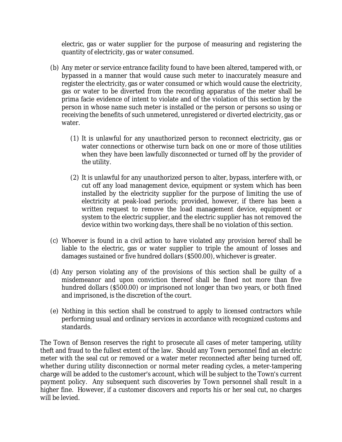electric, gas or water supplier for the purpose of measuring and registering the quantity of electricity, gas or water consumed.

- (b) Any meter or service entrance facility found to have been altered, tampered with, or bypassed in a manner that would cause such meter to inaccurately measure and register the electricity, gas or water consumed or which would cause the electricity, gas or water to be diverted from the recording apparatus of the meter shall be prima facie evidence of intent to violate and of the violation of this section by the person in whose name such meter is installed or the person or persons so using or receiving the benefits of such unmetered, unregistered or diverted electricity, gas or water.
	- (1) It is unlawful for any unauthorized person to reconnect electricity, gas or water connections or otherwise turn back on one or more of those utilities when they have been lawfully disconnected or turned off by the provider of the utility.
	- (2) It is unlawful for any unauthorized person to alter, bypass, interfere with, or cut off any load management device, equipment or system which has been installed by the electricity supplier for the purpose of limiting the use of electricity at peak-load periods; provided, however, if there has been a written request to remove the load management device, equipment or system to the electric supplier, and the electric supplier has not removed the device within two working days, there shall be no violation of this section.
- (c) Whoever is found in a civil action to have violated any provision hereof shall be liable to the electric, gas or water supplier to triple the amount of losses and damages sustained or five hundred dollars (\$500.00), whichever is greater.
- (d) Any person violating any of the provisions of this section shall be guilty of a misdemeanor and upon conviction thereof shall be fined not more than five hundred dollars (\$500.00) or imprisoned not longer than two years, or both fined and imprisoned, is the discretion of the court.
- (e) Nothing in this section shall be construed to apply to licensed contractors while performing usual and ordinary services in accordance with recognized customs and standards.

The Town of Benson reserves the right to prosecute all cases of meter tampering, utility theft and fraud to the fullest extent of the law. Should any Town personnel find an electric meter with the seal cut or removed or a water meter reconnected after being turned off, whether during utility disconnection or normal meter reading cycles, a meter-tampering charge will be added to the customer's account, which will be subject to the Town's current payment policy. Any subsequent such discoveries by Town personnel shall result in a higher fine. However, if a customer discovers and reports his or her seal cut, no charges will be levied.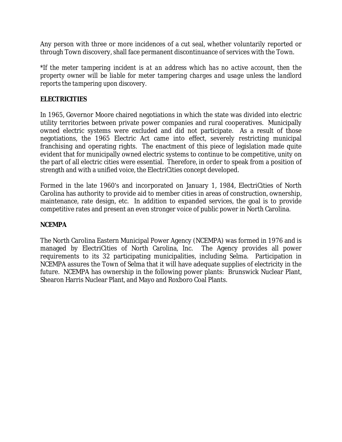Any person with three or more incidences of a cut seal, whether voluntarily reported or through Town discovery, shall face permanent discontinuance of services with the Town.

*\*If the meter tampering incident is at an address which has no active account, then the property owner will be liable for meter tampering charges and usage unless the landlord reports the tampering upon discovery.* 

#### **ELECTRICITIES**

In 1965, Governor Moore chaired negotiations in which the state was divided into electric utility territories between private power companies and rural cooperatives. Municipally owned electric systems were excluded and did not participate. As a result of those negotiations, the 1965 Electric Act came into effect, severely restricting municipal franchising and operating rights. The enactment of this piece of legislation made quite evident that for municipally owned electric systems to continue to be competitive, unity on the part of all electric cities were essential. Therefore, in order to speak from a position of strength and with a unified voice, the ElectriCities concept developed.

Formed in the late 1960's and incorporated on January 1, 1984, ElectriCities of North Carolina has authority to provide aid to member cities in areas of construction, ownership, maintenance, rate design, etc. In addition to expanded services, the goal is to provide competitive rates and present an even stronger voice of public power in North Carolina.

#### **NCEMPA**

The North Carolina Eastern Municipal Power Agency (NCEMPA) was formed in 1976 and is managed by ElectriCities of North Carolina, Inc. The Agency provides all power requirements to its 32 participating municipalities, including Selma. Participation in NCEMPA assures the Town of Selma that it will have adequate supplies of electricity in the future. NCEMPA has ownership in the following power plants: Brunswick Nuclear Plant, Shearon Harris Nuclear Plant, and Mayo and Roxboro Coal Plants.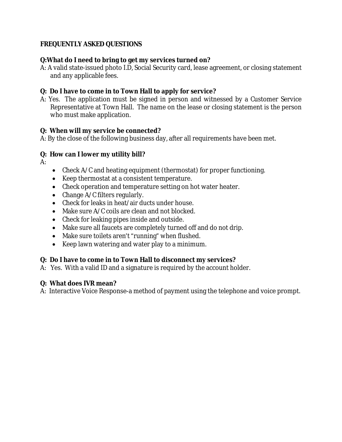### **FREQUENTLY ASKED QUESTIONS**

#### **Q:What do I need to bring to get my services turned on?**

A: A valid state-issued photo I.D, Social Security card, lease agreement, or closing statement and any applicable fees.

#### **Q: Do I have to come in to Town Hall to apply for service?**

A: Yes. The application must be signed in person and witnessed by a Customer Service Representative at Town Hall. The name on the lease or closing statement is the person who must make application.

#### **Q: When will my service be connected?**

A: By the close of the following business day, after all requirements have been met.

#### **Q: How can I lower my utility bill?**

 $A$ :

- Check A/C and heating equipment (thermostat) for proper functioning.
- Keep thermostat at a consistent temperature.
- Check operation and temperature setting on hot water heater.
- Change A/C filters regularly.
- Check for leaks in heat/air ducts under house.
- Make sure A/C coils are clean and not blocked.
- Check for leaking pipes inside and outside.
- Make sure all faucets are completely turned off and do not drip.
- Make sure toilets aren't "running" when flushed.
- Keep lawn watering and water play to a minimum.

#### **Q: Do I have to come in to Town Hall to disconnect my services?**

A:Yes. With a valid ID and a signature is required by the account holder.

#### **Q: What does IVR mean?**

A: Interactive Voice Response-a method of payment using the telephone and voice prompt.